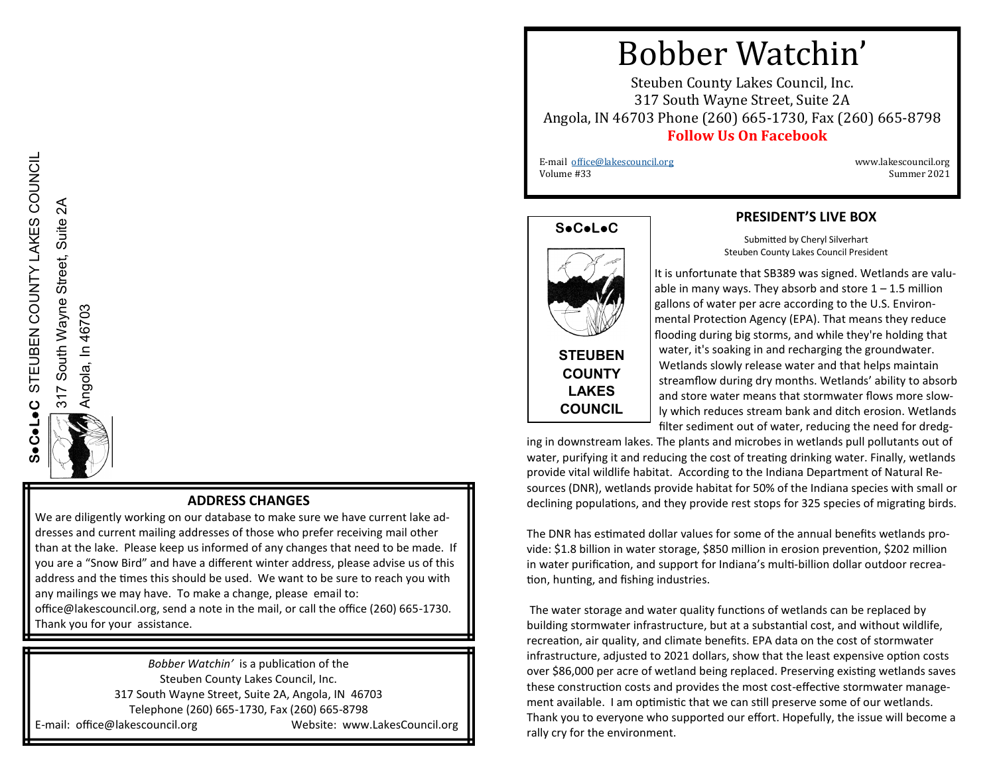Angola, In 46703

Angola, In 46703

# Bobber Watchin'

Steuben County Lakes Council, Inc. 317 South Wayne Street, Suite 2A Angola, IN 46703 Phone (260) 665-1730, Fax (260) 665-8798 **Follow Us On Facebook**

 E-mail [office@lakescouncil.org](mailto:office@lakescouncil.org) www.lakescouncil.org Volume #33 Summer 2021





**COUNTY LAKES COUNCIL**

#### **PRESIDENT'S LIVE BOX**

Submitted by Cheryl Silverhart Steuben County Lakes Council President

It is unfortunate that SB389 was signed. Wetlands are valuable in many ways. They absorb and store  $1 - 1.5$  million gallons of water per acre according to the U.S. Environmental Protection Agency (EPA). That means they reduce flooding during big storms, and while they're holding that water, it's soaking in and recharging the groundwater. Wetlands slowly release water and that helps maintain streamflow during dry months. Wetlands' ability to absorb and store water means that stormwater flows more slowly which reduces stream bank and ditch erosion. Wetlands filter sediment out of water, reducing the need for dredg-

ing in downstream lakes. The plants and microbes in wetlands pull pollutants out of water, purifying it and reducing the cost of treating drinking water. Finally, wetlands provide vital wildlife habitat. According to the Indiana Department of Natural Resources (DNR), wetlands provide habitat for 50% of the Indiana species with small or declining populations, and they provide rest stops for 325 species of migrating birds.

The DNR has estimated dollar values for some of the annual benefits wetlands provide: \$1.8 billion in water storage, \$850 million in erosion prevention, \$202 million in water purification, and support for Indiana's multi-billion dollar outdoor recreation, hunting, and fishing industries.

The water storage and water quality functions of wetlands can be replaced by building stormwater infrastructure, but at a substantial cost, and without wildlife, recreation, air quality, and climate benefits. EPA data on the cost of stormwater infrastructure, adjusted to 2021 dollars, show that the least expensive option costs over \$86,000 per acre of wetland being replaced. Preserving existing wetlands saves these construction costs and provides the most cost-effective stormwater management available. I am optimistic that we can still preserve some of our wetlands. Thank you to everyone who supported our effort. Hopefully, the issue will become a rally cry for the environment.

#### **ADDRESS CHANGES**

We are diligently working on our database to make sure we have current lake addresses and current mailing addresses of those who prefer receiving mail other than at the lake. Please keep us informed of any changes that need to be made. If you are a "Snow Bird" and have a different winter address, please advise us of this address and the times this should be used. We want to be sure to reach you with any mailings we may have. To make a change, please email to:

office@lakescouncil.org, send a note in the mail, or call the office (260) 665-1730. Thank you for your assistance.

*Bobber Watchin'* is a publication of the Steuben County Lakes Council, Inc. 317 South Wayne Street, Suite 2A, Angola, IN 46703 Telephone (260) 665-1730, Fax (260) 665-8798 E-mail: office@lakescouncil.org Website: www.LakesCouncil.org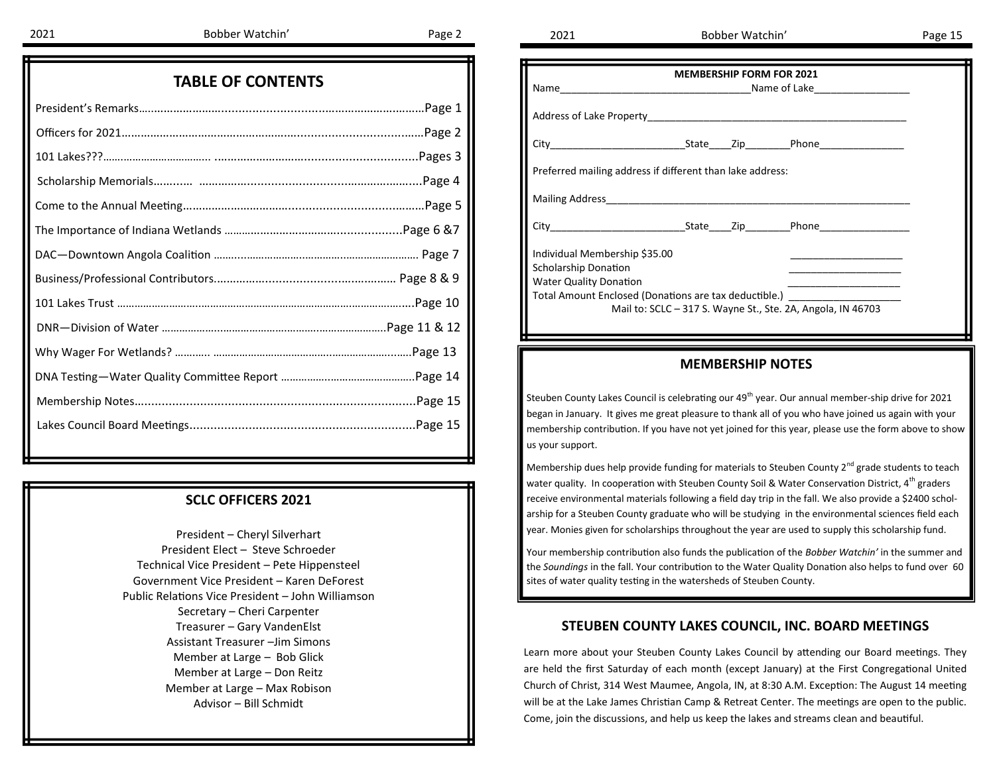| Name                                                                       | <b>MEMBERSHIP FORM FOR 2021</b> |  |                                                             |  |
|----------------------------------------------------------------------------|---------------------------------|--|-------------------------------------------------------------|--|
|                                                                            |                                 |  |                                                             |  |
|                                                                            |                                 |  |                                                             |  |
| Preferred mailing address if different than lake address:                  |                                 |  |                                                             |  |
|                                                                            |                                 |  |                                                             |  |
|                                                                            |                                 |  |                                                             |  |
| Individual Membership \$35.00                                              |                                 |  |                                                             |  |
| <b>Scholarship Donation</b>                                                |                                 |  |                                                             |  |
| <b>Water Quality Donation</b>                                              |                                 |  |                                                             |  |
| Total Amount Enclosed (Donations are tax deductible.) ____________________ |                                 |  |                                                             |  |
|                                                                            |                                 |  | Mail to: SCLC - 317 S. Wayne St., Ste. 2A, Angola, IN 46703 |  |

#### **MEMBERSHIP NOTES**

Steuben County Lakes Council is celebrating our 49<sup>th</sup> year. Our annual member-ship drive for 2021 began in January. It gives me great pleasure to thank all of you who have joined us again with your membership contribution. If you have not yet joined for this year, please use the form above to show us your support.

Membership dues help provide funding for materials to Steuben County 2<sup>nd</sup> grade students to teach water quality. In cooperation with Steuben County Soil & Water Conservation District, 4<sup>th</sup> graders receive environmental materials following a field day trip in the fall. We also provide a \$2400 scholarship for a Steuben County graduate who will be studying in the environmental sciences field each year. Monies given for scholarships throughout the year are used to supply this scholarship fund.

Your membership contribution also funds the publication of the *Bobber Watchin'* in the summer and the *Soundings* in the fall. Your contribution to the Water Quality Donation also helps to fund over 60 sites of water quality testing in the watersheds of Steuben County.

#### **STEUBEN COUNTY LAKES COUNCIL, INC. BOARD MEETINGS**

Learn more about your Steuben County Lakes Council by attending our Board meetings. They are held the first Saturday of each month (except January) at the First Congregational United Church of Christ, 314 West Maumee, Angola, IN, at 8:30 A.M. Exception: The August 14 meeting will be at the Lake James Christian Camp & Retreat Center. The meetings are open to the public. Come, join the discussions, and help us keep the lakes and streams clean and beautiful.

|  |  | <b>TABLE OF CONTENTS</b> |  |
|--|--|--------------------------|--|
|--|--|--------------------------|--|

#### **SCLC OFFICERS 2021**

President – Cheryl Silverhart President Elect – Steve Schroeder Technical Vice President – Pete Hippensteel Government Vice President – Karen DeForest Public Relations Vice President – John Williamson Secretary – Cheri Carpenter Treasurer – Gary VandenElst Assistant Treasurer –Jim Simons Member at Large – Bob Glick Member at Large – Don Reitz Member at Large – Max Robison Advisor – Bill Schmidt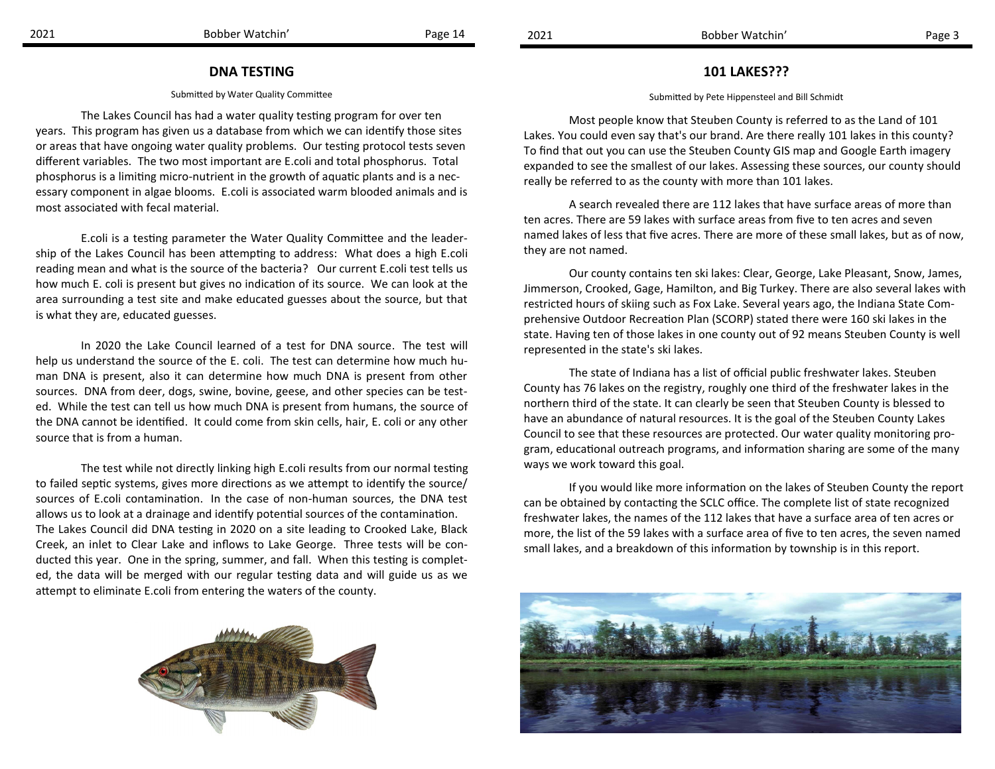#### **101 LAKES???**

#### Submitted by Pete Hippensteel and Bill Schmidt

Most people know that Steuben County is referred to as the Land of 101 Lakes. You could even say that's our brand. Are there really 101 lakes in this county? To find that out you can use the Steuben County GIS map and Google Earth imagery expanded to see the smallest of our lakes. Assessing these sources, our county should really be referred to as the county with more than 101 lakes.

A search revealed there are 112 lakes that have surface areas of more than ten acres. There are 59 lakes with surface areas from five to ten acres and seven named lakes of less that five acres. There are more of these small lakes, but as of now, they are not named.

Our county contains ten ski lakes: Clear, George, Lake Pleasant, Snow, James, Jimmerson, Crooked, Gage, Hamilton, and Big Turkey. There are also several lakes with restricted hours of skiing such as Fox Lake. Several years ago, the Indiana State Comprehensive Outdoor Recreation Plan (SCORP) stated there were 160 ski lakes in the state. Having ten of those lakes in one county out of 92 means Steuben County is well represented in the state's ski lakes.

The state of Indiana has a list of official public freshwater lakes. Steuben County has 76 lakes on the registry, roughly one third of the freshwater lakes in the northern third of the state. It can clearly be seen that Steuben County is blessed to have an abundance of natural resources. It is the goal of the Steuben County Lakes Council to see that these resources are protected. Our water quality monitoring program, educational outreach programs, and information sharing are some of the many ways we work toward this goal.

If you would like more information on the lakes of Steuben County the report can be obtained by contacting the SCLC office. The complete list of state recognized freshwater lakes, the names of the 112 lakes that have a surface area of ten acres or more, the list of the 59 lakes with a surface area of five to ten acres, the seven named small lakes, and a breakdown of this information by township is in this report.



#### **DNA TESTING**

#### Submitted by Water Quality Committee

The Lakes Council has had a water quality testing program for over ten years. This program has given us a database from which we can identify those sites or areas that have ongoing water quality problems. Our testing protocol tests seven different variables. The two most important are E.coli and total phosphorus. Total phosphorus is a limiting micro-nutrient in the growth of aquatic plants and is a necessary component in algae blooms. E.coli is associated warm blooded animals and is most associated with fecal material.

E.coli is a testing parameter the Water Quality Committee and the leadership of the Lakes Council has been attempting to address: What does a high E.coli reading mean and what is the source of the bacteria? Our current E.coli test tells us how much E. coli is present but gives no indication of its source. We can look at the area surrounding a test site and make educated guesses about the source, but that is what they are, educated guesses.

In 2020 the Lake Council learned of a test for DNA source. The test will help us understand the source of the E. coli. The test can determine how much human DNA is present, also it can determine how much DNA is present from other sources. DNA from deer, dogs, swine, bovine, geese, and other species can be tested. While the test can tell us how much DNA is present from humans, the source of the DNA cannot be identified. It could come from skin cells, hair, E. coli or any other source that is from a human.

The test while not directly linking high E.coli results from our normal testing to failed septic systems, gives more directions as we attempt to identify the source/ sources of E.coli contamination. In the case of non-human sources, the DNA test allows us to look at a drainage and identify potential sources of the contamination. The Lakes Council did DNA testing in 2020 on a site leading to Crooked Lake, Black Creek, an inlet to Clear Lake and inflows to Lake George. Three tests will be conducted this year. One in the spring, summer, and fall. When this testing is completed, the data will be merged with our regular testing data and will guide us as we attempt to eliminate E.coli from entering the waters of the county.

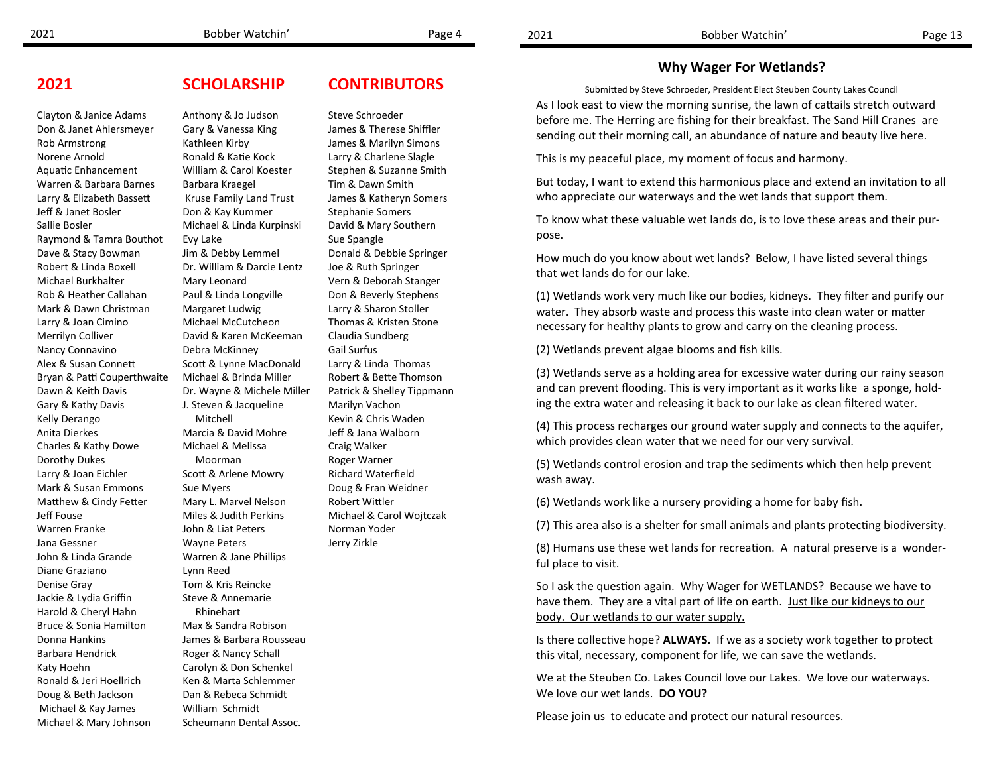#### **Why Wager For Wetlands?**

Submitted by Steve Schroeder, President Elect Steuben County Lakes Council As I look east to view the morning sunrise, the lawn of cattails stretch outward before me. The Herring are fishing for their breakfast. The Sand Hill Cranes are sending out their morning call, an abundance of nature and beauty live here.

This is my peaceful place, my moment of focus and harmony.

But today, I want to extend this harmonious place and extend an invitation to all who appreciate our waterways and the wet lands that support them.

To know what these valuable wet lands do, is to love these areas and their purpose.

How much do you know about wet lands? Below, I have listed several things that wet lands do for our lake.

(1) Wetlands work very much like our bodies, kidneys. They filter and purify our water. They absorb waste and process this waste into clean water or matter necessary for healthy plants to grow and carry on the cleaning process.

(2) Wetlands prevent algae blooms and fish kills.

(3) Wetlands serve as a holding area for excessive water during our rainy season and can prevent flooding. This is very important as it works like a sponge, holding the extra water and releasing it back to our lake as clean filtered water.

(4) This process recharges our ground water supply and connects to the aquifer, which provides clean water that we need for our very survival.

(5) Wetlands control erosion and trap the sediments which then help prevent wash away.

(6) Wetlands work like a nursery providing a home for baby fish.

(7) This area also is a shelter for small animals and plants protecting biodiversity.

(8) Humans use these wet lands for recreation. A natural preserve is a wonderful place to visit.

So I ask the question again. Why Wager for WETLANDS? Because we have to have them. They are a vital part of life on earth. Just like our kidneys to our body. Our wetlands to our water supply.

Is there collective hope? **ALWAYS.** If we as a society work together to protect this vital, necessary, component for life, we can save the wetlands.

We at the Steuben Co. Lakes Council love our Lakes. We love our waterways. We love our wet lands. **DO YOU?**

Please join us to educate and protect our natural resources.

**2021**

Clayton & Janice Adams Don & Janet Ahlersmeyer

Rob Armstrong Norene Arnold

Jeff & Janet Bosler Sallie Bosler

Robert & Linda Boxell Michael Burkhalter

Aquatic Enhancement Warren & Barbara Barnes Larry & Elizabeth Bassett Raymond & Tamra Bouthot Dave & Stacy Bowman Rob & Heather Callahan Kathleen Kirby Ronald & Katie Kock William & Carol Koester Barbara Kraegel Kruse Family Land Trust Don & Kay Kummer Michael & Linda Kurpinski Evy Lake Jim & Debby Lemmel Dr. William & Darcie Lentz Mary Leonard Paul & Linda Longville Margaret Ludwig Michael McCutcheon David & Karen McKeeman Debra McKinney Scott & Lynne MacDonald Michael & Brinda Miller Dr. Wayne & Michele Miller J. Steven & Jacqueline Mitchell Marcia & David Mohre Michael & Melissa Moorman Scott & Arlene Mowry Sue Myers Mary L. Marvel Nelson Miles & Judith Perkins John & Liat Peters Wayne Peters Warren & Jane Phillips Lynn Reed Tom & Kris Reincke Steve & Annemarie Rhinehart Max & Sandra Robison James & Barbara Rousseau Roger & Nancy Schall Carolyn & Don Schenkel Ken & Marta Schlemmer Dan & Rebeca Schmidt William Schmidt

Scheumann Dental Assoc.

## **CONTRIBUTORS**

#### Steve Schroeder

James & Therese Shiffler James & Marilyn Simons Larry & Charlene Slagle Stephen & Suzanne Smith Tim & Dawn Smith James & Katheryn Somers Stephanie Somers David & Mary Southern Sue Spangle Donald & Debbie Springer Joe & Ruth Springer Vern & Deborah Stanger Don & Beverly Stephens Larry & Sharon Stoller Thomas & Kristen Stone Claudia Sundberg Gail Surfus Larry & Linda Thomas Robert & Bette Thomson Patrick & Shelley Tippmann Marilyn Vachon Kevin & Chris Waden Jeff & Jana Walborn Craig Walker Roger Warner Richard Waterfield Doug & Fran Weidner Robert Wittler Michael & Carol Wojtczak Norman Yoder Jerry Zirkle

## **SCHOLARSHIP**

Anthony & Jo Judson Gary & Vanessa King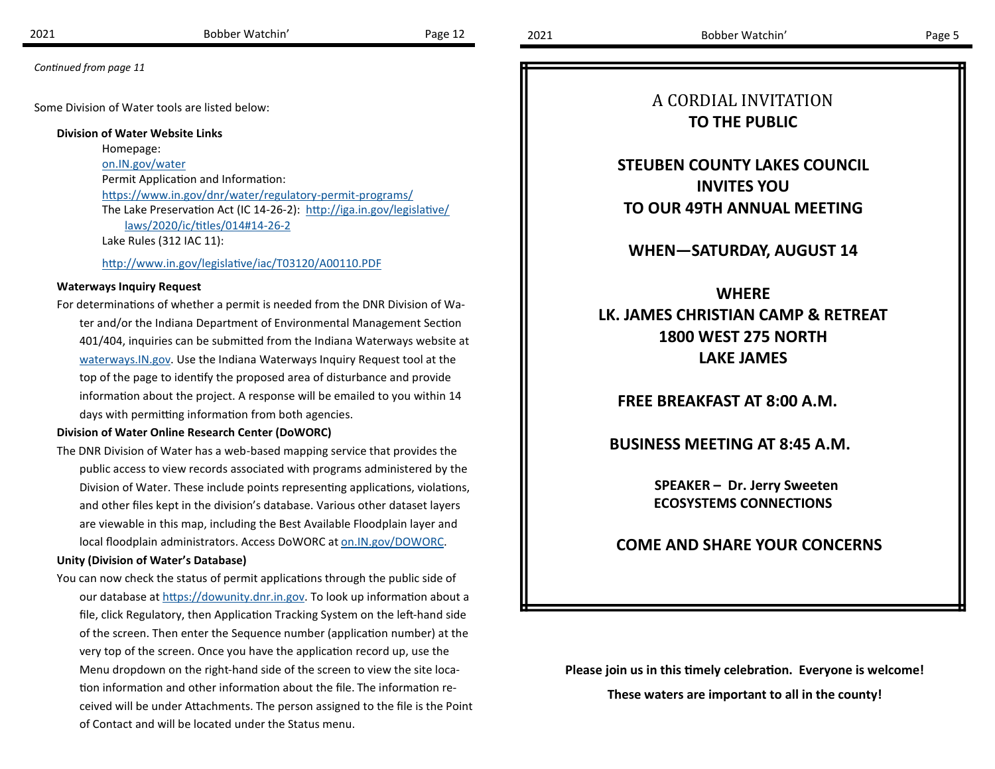Some Division of Water tools are listed below:

**Division of Water Website Links**

Homepage: [on.IN.gov/water](https://www.in.gov/dnr/water/) Permit Application and Information: [https://www.in.gov/dnr/water/regulatory](https://www.in.gov/dnr/water/regulatory-permit-programs/)-permit-programs/ The Lake Preservation Act (IC 14-26-2): [http://iga.in.gov/legislative/](http://iga.in.gov/legislative/laws/2020/ic/titles/014#14-26-2) [laws/2020/ic/titles/014#14](http://iga.in.gov/legislative/laws/2020/ic/titles/014#14-26-2)-26-2 Lake Rules (312 IAC 11):

<http://www.in.gov/legislative/iac/T03120/A00110.PDF>

#### **Waterways Inquiry Request**

For determinations of whether a permit is needed from the DNR Division of Water and/or the Indiana Department of Environmental Management Section 401/404, inquiries can be submitted from the Indiana Waterways website at [waterways.IN.gov.](http://www.in.gov/waterways/) Use the Indiana Waterways Inquiry Request tool at the top of the page to identify the proposed area of disturbance and provide information about the project. A response will be emailed to you within 14 days with permitting information from both agencies.

#### **Division of Water Online Research Center (DoWORC)**

The DNR Division of Water has a web-based mapping service that provides the public access to view records associated with programs administered by the Division of Water. These include points representing applications, violations, and other files kept in the division's database. Various other dataset layers are viewable in this map, including the Best Available Floodplain layer and local floodplain administrators. Access DoWORC at [on.IN.gov/DOWORC.](https://www.in.gov/dnr/water/online-research-center/?utm_source=agency-website&utm_medium=&utm_campaign=&utm_term=&utm_content=) 

#### **Unity (Division of Water's Database)**

You can now check the status of permit applications through the public side of our database at [https://dowunity.dnr.in.gov.](https://dowunity.dnr.in.gov) To look up information about a file, click Regulatory, then Application Tracking System on the left-hand side of the screen. Then enter the Sequence number (application number) at the very top of the screen. Once you have the application record up, use the Menu dropdown on the right-hand side of the screen to view the site location information and other information about the file. The information received will be under Attachments. The person assigned to the file is the Point of Contact and will be located under the Status menu.

## A CORDIAL INVITATION **TO THE PUBLIC**

**STEUBEN COUNTY LAKES COUNCIL INVITES YOU TO OUR 49TH ANNUAL MEETING**

#### **WHEN—SATURDAY, AUGUST 14**

## **WHERE**

**LK. JAMES CHRISTIAN CAMP & RETREAT 1800 WEST 275 NORTH LAKE JAMES**

 **FREE BREAKFAST AT 8:00 A.M.**

 **BUSINESS MEETING AT 8:45 A.M.**

 **SPEAKER – Dr. Jerry Sweeten ECOSYSTEMS CONNECTIONS**

#### **COME AND SHARE YOUR CONCERNS**

**Please join us in this timely celebration. Everyone is welcome!**

**These waters are important to all in the county!**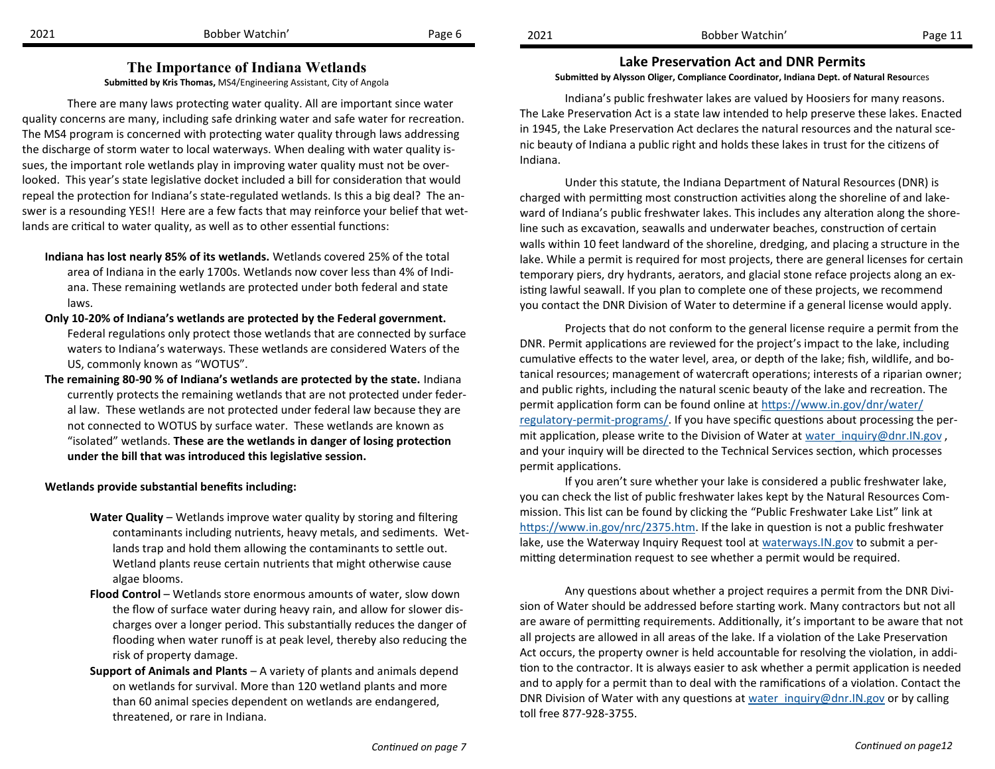#### **The Importance of Indiana Wetlands**

**Submitted by Kris Thomas,** MS4/Engineering Assistant, City of Angola

There are many laws protecting water quality. All are important since water quality concerns are many, including safe drinking water and safe water for recreation. The MS4 program is concerned with protecting water quality through laws addressing the discharge of storm water to local waterways. When dealing with water quality issues, the important role wetlands play in improving water quality must not be overlooked. This year's state legislative docket included a bill for consideration that would repeal the protection for Indiana's state-regulated wetlands. Is this a big deal? The answer is a resounding YES!! Here are a few facts that may reinforce your belief that wetlands are critical to water quality, as well as to other essential functions:

- **Indiana has lost nearly 85% of its wetlands.** Wetlands covered 25% of the total area of Indiana in the early 1700s. Wetlands now cover less than 4% of Indiana. These remaining wetlands are protected under both federal and state laws.
- **Only 10-20% of Indiana's wetlands are protected by the Federal government.** Federal regulations only protect those wetlands that are connected by surface waters to Indiana's waterways. These wetlands are considered Waters of the US, commonly known as "WOTUS".
- **The remaining 80-90 % of Indiana's wetlands are protected by the state.** Indiana currently protects the remaining wetlands that are not protected under federal law. These wetlands are not protected under federal law because they are not connected to WOTUS by surface water. These wetlands are known as "isolated" wetlands. **These are the wetlands in danger of losing protection under the bill that was introduced this legislative session.**

#### **Wetlands provide substantial benefits including:**

- **Water Quality**  Wetlands improve water quality by storing and filtering contaminants including nutrients, heavy metals, and sediments. Wetlands trap and hold them allowing the contaminants to settle out. Wetland plants reuse certain nutrients that might otherwise cause algae blooms.
- **Flood Control** Wetlands store enormous amounts of water, slow down the flow of surface water during heavy rain, and allow for slower discharges over a longer period. This substantially reduces the danger of flooding when water runoff is at peak level, thereby also reducing the risk of property damage.
- **Support of Animals and Plants**  A variety of plants and animals depend on wetlands for survival. More than 120 wetland plants and more than 60 animal species dependent on wetlands are endangered, threatened, or rare in Indiana.

**Lake Preservation Act and DNR Permits Submitted by Alysson Oliger, Compliance Coordinator, Indiana Dept. of Natural Resou**rces

Indiana's public freshwater lakes are valued by Hoosiers for many reasons. The Lake Preservation Act is a state law intended to help preserve these lakes. Enacted in 1945, the Lake Preservation Act declares the natural resources and the natural scenic beauty of Indiana a public right and holds these lakes in trust for the citizens of Indiana.

Under this statute, the Indiana Department of Natural Resources (DNR) is charged with permitting most construction activities along the shoreline of and lakeward of Indiana's public freshwater lakes. This includes any alteration along the shoreline such as excavation, seawalls and underwater beaches, construction of certain walls within 10 feet landward of the shoreline, dredging, and placing a structure in the lake. While a permit is required for most projects, there are general licenses for certain temporary piers, dry hydrants, aerators, and glacial stone reface projects along an existing lawful seawall. If you plan to complete one of these projects, we recommend you contact the DNR Division of Water to determine if a general license would apply.

Projects that do not conform to the general license require a permit from the DNR. Permit applications are reviewed for the project's impact to the lake, including cumulative effects to the water level, area, or depth of the lake; fish, wildlife, and botanical resources; management of watercraft operations; interests of a riparian owner; and public rights, including the natural scenic beauty of the lake and recreation. The permit application form can be found online at [https://www.in.gov/dnr/water/](https://www.in.gov/dnr/water/regulatory-permit-programs/) regulatory-permit-[programs/.](https://www.in.gov/dnr/water/regulatory-permit-programs/) If you have specific questions about processing the permit application, please write to the Division of Water at water inquiry@dnr.IN.gov, and your inquiry will be directed to the Technical Services section, which processes permit applications.

If you aren't sure whether your lake is considered a public freshwater lake, you can check the list of public freshwater lakes kept by the Natural Resources Commission. This list can be found by clicking the "Public Freshwater Lake List" link at [https://www.in.gov/nrc/2375.htm.](https://www.in.gov/nrc/2375.htm) If the lake in question is not a public freshwater lake, use the Waterway Inquiry Request tool at waterways. IN. gov to submit a permitting determination request to see whether a permit would be required.

Any questions about whether a project requires a permit from the DNR Division of Water should be addressed before starting work. Many contractors but not all are aware of permitting requirements. Additionally, it's important to be aware that not all projects are allowed in all areas of the lake. If a violation of the Lake Preservation Act occurs, the property owner is held accountable for resolving the violation, in addition to the contractor. It is always easier to ask whether a permit application is needed and to apply for a permit than to deal with the ramifications of a violation. Contact the DNR Division of Water with any questions at water inquiry@dnr.IN.gov or by calling toll free 877-928-3755.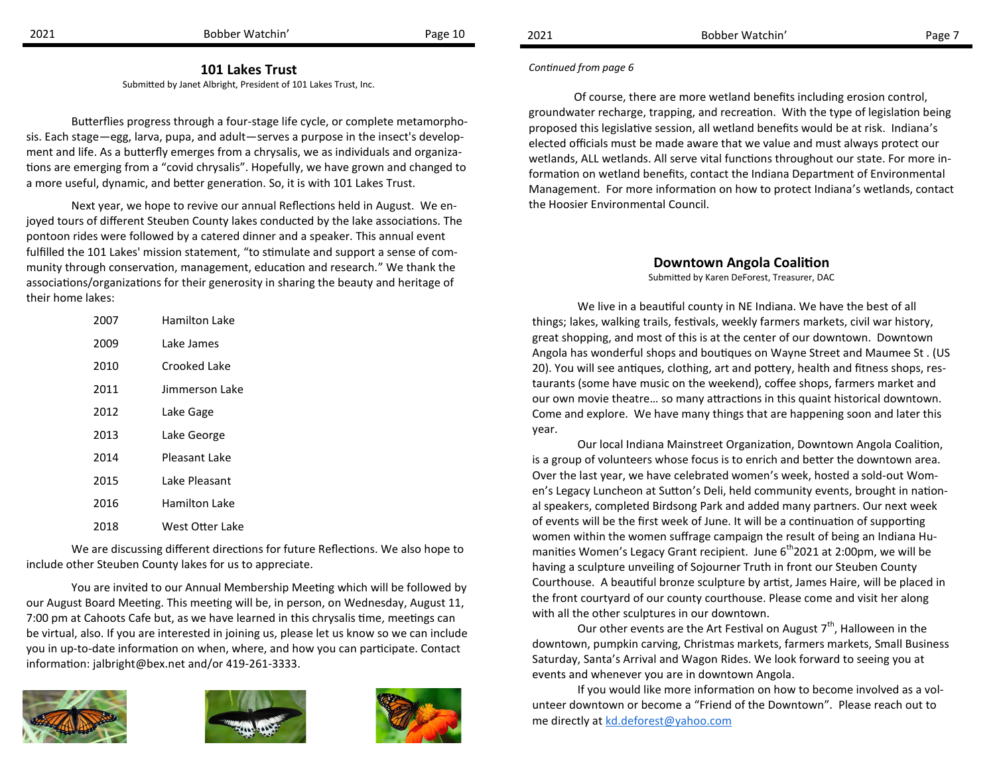2021 Bobber Watchin' Page 10 Bobber Watchin' Page 7

#### **101 Lakes Trust**

Submitted by Janet Albright, President of 101 Lakes Trust, Inc.

Butterflies progress through a four-stage life cycle, or complete metamorphosis. Each stage—egg, larva, pupa, and adult—serves a purpose in the insect's development and life. As a butterfly emerges from a chrysalis, we as individuals and organizations are emerging from a "covid chrysalis". Hopefully, we have grown and changed to a more useful, dynamic, and better generation. So, it is with 101 Lakes Trust.

Next year, we hope to revive our annual Reflections held in August. We enjoyed tours of different Steuben County lakes conducted by the lake associations. The pontoon rides were followed by a catered dinner and a speaker. This annual event fulfilled the 101 Lakes' mission statement, "to stimulate and support a sense of community through conservation, management, education and research." We thank the associations/organizations for their generosity in sharing the beauty and heritage of their home lakes:

| 2007 | Hamilton Lake   |
|------|-----------------|
| 2009 | Lake James      |
| 2010 | Crooked Lake    |
| 2011 | Jimmerson Lake  |
| 2012 | Lake Gage       |
| 2013 | Lake George     |
| 2014 | Pleasant Lake   |
| 2015 | Lake Pleasant   |
| 2016 | Hamilton Lake   |
| 2018 | West Otter Lake |

We are discussing different directions for future Reflections. We also hope to include other Steuben County lakes for us to appreciate.

You are invited to our Annual Membership Meeting which will be followed by our August Board Meeting. This meeting will be, in person, on Wednesday, August 11, 7:00 pm at Cahoots Cafe but, as we have learned in this chrysalis time, meetings can be virtual, also. If you are interested in joining us, please let us know so we can include you in up-to-date information on when, where, and how you can participate. Contact information: [jalbright@bex.net](mailto:jalbright@bex.net) and/or 419-261-3333.







#### *Continued from page 6*

Of course, there are more wetland benefits including erosion control, groundwater recharge, trapping, and recreation. With the type of legislation being proposed this legislative session, all wetland benefits would be at risk. Indiana's elected officials must be made aware that we value and must always protect our wetlands, ALL wetlands. All serve vital functions throughout our state. For more information on wetland benefits, contact the Indiana Department of Environmental Management. For more information on how to protect Indiana's wetlands, contact the Hoosier Environmental Council.

#### **Downtown Angola Coalition**

Submitted by Karen DeForest, Treasurer, DAC

We live in a beautiful county in NE Indiana. We have the best of all things; lakes, walking trails, festivals, weekly farmers markets, civil war history, great shopping, and most of this is at the center of our downtown. Downtown Angola has wonderful shops and boutiques on Wayne Street and Maumee St . (US 20). You will see antiques, clothing, art and pottery, health and fitness shops, restaurants (some have music on the weekend), coffee shops, farmers market and our own movie theatre… so many attractions in this quaint historical downtown. Come and explore. We have many things that are happening soon and later this year.

Our local Indiana Mainstreet Organization, Downtown Angola Coalition, is a group of volunteers whose focus is to enrich and better the downtown area. Over the last year, we have celebrated women's week, hosted a sold-out Women's Legacy Luncheon at Sutton's Deli, held community events, brought in national speakers, completed Birdsong Park and added many partners. Our next week of events will be the first week of June. It will be a continuation of supporting women within the women suffrage campaign the result of being an Indiana Humanities Women's Legacy Grant recipient. June  $6<sup>th</sup>$ 2021 at 2:00pm, we will be having a sculpture unveiling of Sojourner Truth in front our Steuben County Courthouse. A beautiful bronze sculpture by artist, James Haire, will be placed in the front courtyard of our county courthouse. Please come and visit her along with all the other sculptures in our downtown.

Our other events are the Art Festival on August  $7<sup>th</sup>$ , Halloween in the downtown, pumpkin carving, Christmas markets, farmers markets, Small Business Saturday, Santa's Arrival and Wagon Rides. We look forward to seeing you at events and whenever you are in downtown Angola.

If you would like more information on how to become involved as a volunteer downtown or become a "Friend of the Downtown". Please reach out to me directly at [kd.deforest@yahoo.com](mailto:kd.deforest@yahoo.com)